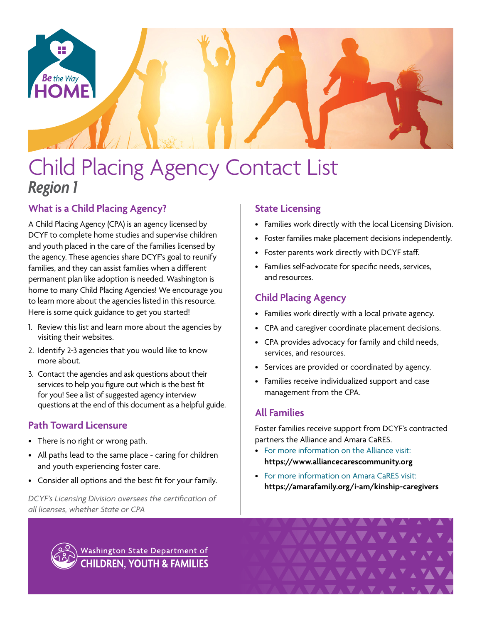

# Child Placing Agency Contact List *Region 1*

# **What is a Child Placing Agency?**

A Child Placing Agency (CPA) is an agency licensed by DCYF to complete home studies and supervise children and youth placed in the care of the families licensed by the agency. These agencies share DCYF's goal to reunify families, and they can assist families when a different permanent plan like adoption is needed. Washington is home to many Child Placing Agencies! We encourage you to learn more about the agencies listed in this resource. Here is some quick guidance to get you started!

- 1. Review this list and learn more about the agencies by visiting their websites.
- 2. Identify 2-3 agencies that you would like to know more about.
- 3. Contact the agencies and ask questions about their services to help you figure out which is the best fit for you! See a list of suggested agency interview questions at the end of this document as a helpful guide.

# **Path Toward Licensure**

- There is no right or wrong path.
- All paths lead to the same place caring for children and youth experiencing foster care.
- Consider all options and the best fit for your family.

*DCYF's Licensing Division oversees the certification of all licenses, whether State or CPA*

# **State Licensing**

- Families work directly with the local Licensing Division.
- Foster families make placement decisions independently.
- Foster parents work directly with DCYF staff.
- Families self-advocate for specific needs, services, and resources.

# **Child Placing Agency**

- Families work directly with a local private agency.
- CPA and caregiver coordinate placement decisions.
- CPA provides advocacy for family and child needs, services, and resources.
- Services are provided or coordinated by agency.
- Families receive individualized support and case management from the CPA.

# **All Families**

Foster families receive support from DCYF's contracted partners the Alliance and Amara CaRES.

- For more information on the Alliance visit: **<https://www.alliancecarescommunity.org>**
- For more information on Amara CaRES visit: **[https://amarafamily.org/i-am/kinship-caregivers](https://amarafamily.org/i-am/kinship-caregivers/)**



Washington State Department of **CHILDREN, YOUTH & FAMILIES**  VAVAVAVA<sup>V</sup>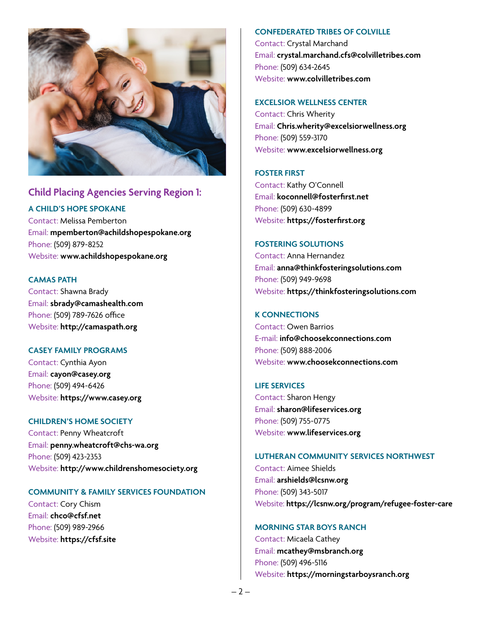

# **Child Placing Agencies Serving Region 1:**

## **A CHILD'S HOPE SPOKANE**

Contact: Melissa Pemberton Email: **[mpemberton@achildshopespokane.org](mailto:mpemberton%40achildshopespokane.org?subject=)** Phone: (509) 879-8252 Website: **[www.achildshopespokane.org](http://www.achildshopespokane.org)**

#### **CAMAS PATH**

Contact: Shawna Brady Email: **[sbrady@camashealth.com](mailto:sbrady%40camashealth.com?subject=)** Phone: (509) 789-7626 office Website: **<http://camaspath.org>**

#### **CASEY FAMILY PROGRAMS**

Contact: Cynthia Ayon Email: **[cayon@casey.org](mailto:cayon%40casey.org?subject=)** Phone: (509) 494-6426 Website: **[https://www.casey.org](https://www.casey.org/)**

## **CHILDREN'S HOME SOCIETY**

Contact: Penny Wheatcroft Email: **[penny.wheatcroft@chs-wa.org](mailto:penny.wheatcroft%40chs-wa.org?subject=)** Phone: (509) 423-2353 Website: **<http://www.childrenshomesociety.org>**

#### **COMMUNITY & FAMILY SERVICES FOUNDATION**

Contact: Cory Chism Email: **[chco@cfsf.net](mailto:chco%40cfsf.net?subject=)** Phone: (509) 989-2966 Website: **<https://cfsf.site>**

#### **CONFEDERATED TRIBES OF COLVILLE**

Contact: Crystal Marchand Email: **[crystal.marchand.cfs@colvilletribes.com](mailto:crystal.marchand.cfs%40colvilletribes.com?subject=)** Phone: (509) 634-2645 Website: **[www.colvilletribes.com](http://www.colvilletribes.com)**

#### **EXCELSIOR WELLNESS CENTER**

Contact: Chris Wherity Email: **[Chris.wherity@excelsiorwellness.org](mailto:Chris.wherity%40excelsiorwellness.org?subject=)** Phone: (509) 559-3170 Website: **[www.excelsiorwellness.org](http://www.excelsiorwellness.org)**

## **FOSTER FIRST**

Contact: Kathy O'Connell Email: **[koconnell@fosterfirst.net](mailto:koconnell%40fosterfirst.net?subject=)** Phone: (509) 630-4899 Website: **[https://fosterfirst.org](https://fosterfirst.org/)**

#### **FOSTERING SOLUTIONS**

Contact: Anna Hernandez Email: **[anna@thinkfosteringsolutions.com](mailto:anna%40thinkfosteringsolutions.com?subject=)** Phone: (509) 949-9698 Website: **[https://thinkfosteringsolutions.com](https://thinkfosteringsolutions.com/)**

### **K CONNECTIONS**

Contact: Owen Barrios E-mail: **[info@choosekconnections.com](mailto:info%40choosekconnections.com?subject=)** Phone: (509) 888-2006 Website: **[www.choosekconnections.com](http://www.choosekconnections.com)**

#### **LIFE SERVICES**

Contact: Sharon Hengy Email: **[sharon@lifeservices.org](mailto:sharon%40lifeservices.org?subject=)** Phone: (509) 755-0775 Website: **[www.lifeservices.org](http://www.lifeservices.org)**

#### **LUTHERAN COMMUNITY SERVICES NORTHWEST**

Contact: Aimee Shields Email: **[arshields@lcsnw.org](mailto:arshields%40lcsnw.org?subject=)** Phone: (509) 343-5017 Website: **<https://lcsnw.org/program/refugee-foster-care>**

#### **MORNING STAR BOYS RANCH**

Contact: Micaela Cathey Email: **[mcathey@msbranch.org](mailto:mcathey%40msbranch.org?subject=)** Phone: (509) 496-5116 Website: **[https://morningstarboysranch.org](https://morningstarboysranch.org/)**